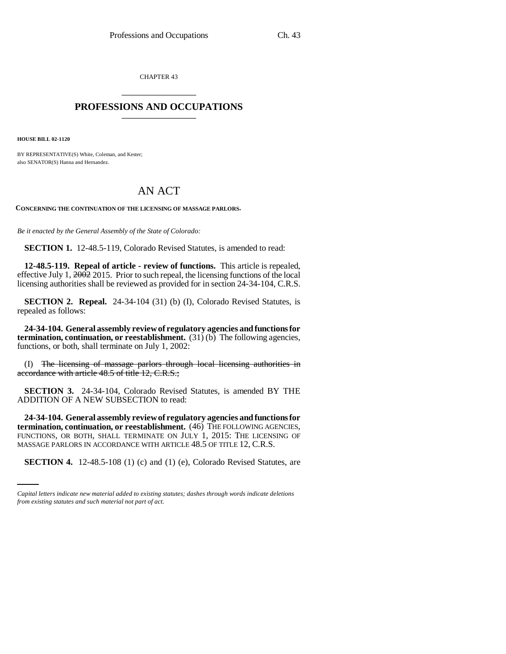CHAPTER 43 \_\_\_\_\_\_\_\_\_\_\_\_\_\_\_

## **PROFESSIONS AND OCCUPATIONS** \_\_\_\_\_\_\_\_\_\_\_\_\_\_\_

**HOUSE BILL 02-1120**

BY REPRESENTATIVE(S) White, Coleman, and Kester; also SENATOR(S) Hanna and Hernandez.

## AN ACT

**CONCERNING THE CONTINUATION OF THE LICENSING OF MASSAGE PARLORS.**

*Be it enacted by the General Assembly of the State of Colorado:*

**SECTION 1.** 12-48.5-119, Colorado Revised Statutes, is amended to read:

**12-48.5-119. Repeal of article - review of functions.** This article is repealed, effective July 1, 2002 2015. Prior to such repeal, the licensing functions of the local licensing authorities shall be reviewed as provided for in section 24-34-104, C.R.S.

**SECTION 2. Repeal.** 24-34-104 (31) (b) (I), Colorado Revised Statutes, is repealed as follows:

**24-34-104. General assembly review of regulatory agencies and functions for termination, continuation, or reestablishment.** (31) (b) The following agencies, functions, or both, shall terminate on July 1, 2002:

(I) The licensing of massage parlors through local licensing authorities in accordance with article 48.5 of title 12, C.R.S.;

**SECTION 3.** 24-34-104, Colorado Revised Statutes, is amended BY THE ADDITION OF A NEW SUBSECTION to read:

MASSAGE PARLORS IN ACCORDANCE WITH ARTICLE 48.5 OF TITLE 12, C.R.S. **24-34-104. General assembly review of regulatory agencies and functions for termination, continuation, or reestablishment.** (46) THE FOLLOWING AGENCIES, FUNCTIONS, OR BOTH, SHALL TERMINATE ON JULY 1, 2015: THE LICENSING OF

**SECTION 4.** 12-48.5-108 (1) (c) and (1) (e), Colorado Revised Statutes, are

*Capital letters indicate new material added to existing statutes; dashes through words indicate deletions from existing statutes and such material not part of act.*